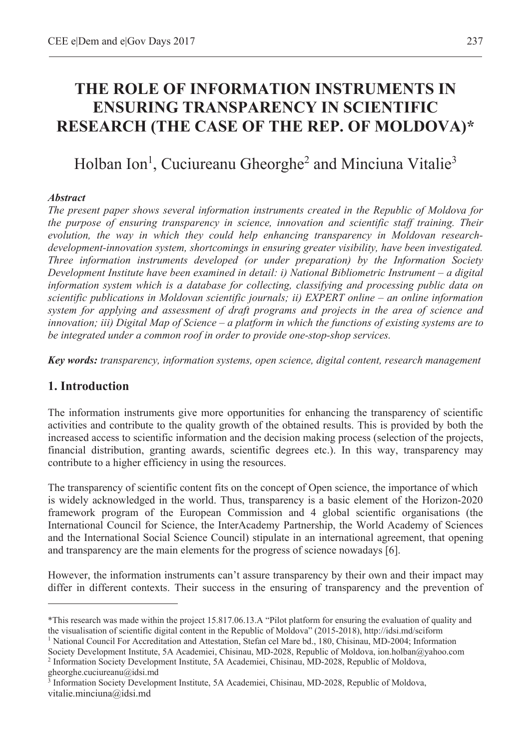# **THE ROLE OF INFORMATION INSTRUMENTS IN ENSURING TRANSPARENCY IN SCIENTIFIC RESEARCH (THE CASE OF THE REP. OF MOLDOVA)\***

# Holban Ion<sup>1</sup>, Cuciureanu Gheorghe<sup>2</sup> and Minciuna Vitalie<sup>3</sup>

#### *Abstract*

*The present paper shows several information instruments created in the Republic of Moldova for the purpose of ensuring transparency in science, innovation and scientific staff training. Their evolution, the way in which they could help enhancing transparency in Moldovan researchdevelopment-innovation system, shortcomings in ensuring greater visibility, have been investigated. Three information instruments developed (or under preparation) by the Information Society Development Institute have been examined in detail: i) National Bibliometric Instrument – a digital information system which is a database for collecting, classifying and processing public data on scientific publications in Moldovan scientific journals; ii) EXPERT online – an online information system for applying and assessment of draft programs and projects in the area of science and innovation; iii) Digital Map of Science – a platform in which the functions of existing systems are to be integrated under a common roof in order to provide one-stop-shop services.* 

*Key words: transparency, information systems, open science, digital content, research management* 

#### **1. Introduction**

 $\overline{a}$ 

The information instruments give more opportunities for enhancing the transparency of scientific activities and contribute to the quality growth of the obtained results. This is provided by both the increased access to scientific information and the decision making process (selection of the projects, financial distribution, granting awards, scientific degrees etc.). In this way, transparency may contribute to a higher efficiency in using the resources.

The transparency of scientific content fits on the concept of Open science, the importance of which is widely acknowledged in the world. Thus, transparency is a basic element of the Horizon-2020 framework program of the European Commission and 4 global scientific organisations (the International Council for Science, the InterAcademy Partnership, the World Academy of Sciences and the International Social Science Council) stipulate in an international agreement, that opening and transparency are the main elements for the progress of science nowadays [6].

However, the information instruments can't assure transparency by their own and their impact may differ in different contexts. Their success in the ensuring of transparency and the prevention of

<sup>2</sup> Information Society Development Institute, 5A Academiei, Chisinau, MD-2028, Republic of Moldova, gheorghe.cuciureanu@idsi.md

<sup>\*</sup>This research was made within the project 15.817.06.13.A "Pilot platform for ensuring the evaluation of quality and the visualisation of scientific digital content in the Republic of Moldova" (2015-2018), http://idsi.md/sciform 1

<sup>&</sup>lt;sup>1</sup> National Council For Accreditation and Attestation, Stefan cel Mare bd., 180, Chisinau, MD-2004; Information Society Development Institute, 5A Academiei, Chisinau, MD-2028, Republic of Moldova, ion.holban@yahoo.com 2

<sup>3</sup> Information Society Development Institute, 5A Academiei, Chisinau, MD-2028, Republic of Moldova, vitalie.minciuna@idsi.md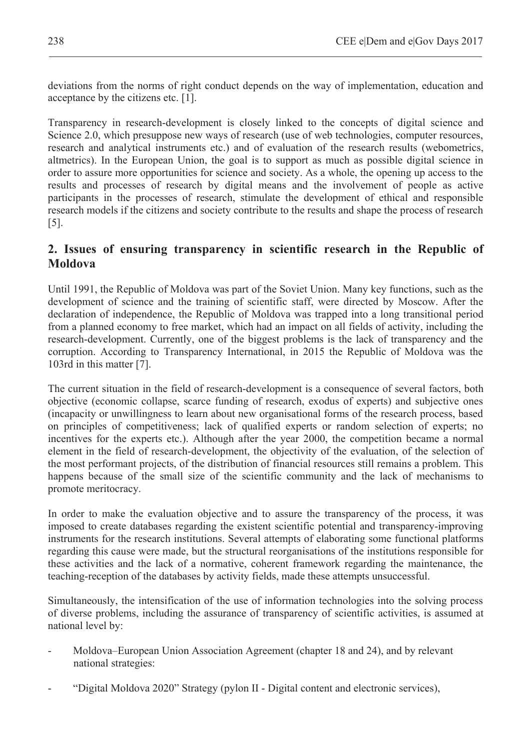deviations from the norms of right conduct depends on the way of implementation, education and acceptance by the citizens etc. [1].

Transparency in research-development is closely linked to the concepts of digital science and Science 2.0, which presuppose new ways of research (use of web technologies, computer resources, research and analytical instruments etc.) and of evaluation of the research results (webometrics, altmetrics). In the European Union, the goal is to support as much as possible digital science in order to assure more opportunities for science and society. As a whole, the opening up access to the results and processes of research by digital means and the involvement of people as active participants in the processes of research, stimulate the development of ethical and responsible research models if the citizens and society contribute to the results and shape the process of research [5].

# **2. Issues of ensuring transparency in scientific research in the Republic of Moldova**

Until 1991, the Republic of Moldova was part of the Soviet Union. Many key functions, such as the development of science and the training of scientific staff, were directed by Moscow. After the declaration of independence, the Republic of Moldova was trapped into a long transitional period from a planned economy to free market, which had an impact on all fields of activity, including the research-development. Currently, one of the biggest problems is the lack of transparency and the corruption. According to Transparency International, in 2015 the Republic of Moldova was the 103rd in this matter [7].

The current situation in the field of research-development is a consequence of several factors, both objective (economic collapse, scarce funding of research, exodus of experts) and subjective ones (incapacity or unwillingness to learn about new organisational forms of the research process, based on principles of competitiveness; lack of qualified experts or random selection of experts; no incentives for the experts etc.). Although after the year 2000, the competition became a normal element in the field of research-development, the objectivity of the evaluation, of the selection of the most performant projects, of the distribution of financial resources still remains a problem. This happens because of the small size of the scientific community and the lack of mechanisms to promote meritocracy.

In order to make the evaluation objective and to assure the transparency of the process, it was imposed to create databases regarding the existent scientific potential and transparency-improving instruments for the research institutions. Several attempts of elaborating some functional platforms regarding this cause were made, but the structural reorganisations of the institutions responsible for these activities and the lack of a normative, coherent framework regarding the maintenance, the teaching-reception of the databases by activity fields, made these attempts unsuccessful.

Simultaneously, the intensification of the use of information technologies into the solving process of diverse problems, including the assurance of transparency of scientific activities, is assumed at national level by:

- Moldova–European Union Association Agreement (chapter 18 and 24), and by relevant national strategies:
- "Digital Moldova 2020" Strategy (pylon II Digital content and electronic services),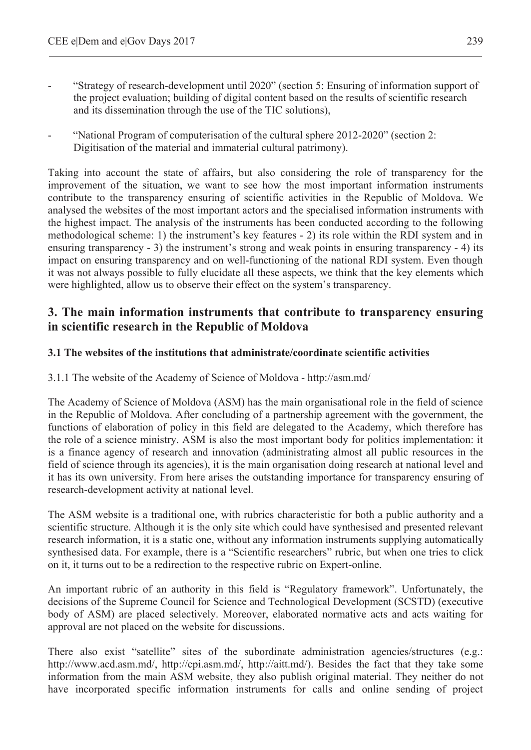- "Strategy of research-development until 2020" (section 5: Ensuring of information support of the project evaluation; building of digital content based on the results of scientific research and its dissemination through the use of the TIC solutions),
- "National Program of computerisation of the cultural sphere 2012-2020" (section 2: Digitisation of the material and immaterial cultural patrimony).

Taking into account the state of affairs, but also considering the role of transparency for the improvement of the situation, we want to see how the most important information instruments contribute to the transparency ensuring of scientific activities in the Republic of Moldova. We analysed the websites of the most important actors and the specialised information instruments with the highest impact. The analysis of the instruments has been conducted according to the following methodological scheme: 1) the instrument's key features - 2) its role within the RDI system and in ensuring transparency - 3) the instrument's strong and weak points in ensuring transparency - 4) its impact on ensuring transparency and on well-functioning of the national RDI system. Even though it was not always possible to fully elucidate all these aspects, we think that the key elements which were highlighted, allow us to observe their effect on the system's transparency.

## **3. The main information instruments that contribute to transparency ensuring in scientific research in the Republic of Moldova**

#### **3.1 The websites of the institutions that administrate/coordinate scientific activities**

3.1.1 The website of the Academy of Science of Moldova - http://asm.md/

The Academy of Science of Moldova (ASM) has the main organisational role in the field of science in the Republic of Moldova. After concluding of a partnership agreement with the government, the functions of elaboration of policy in this field are delegated to the Academy, which therefore has the role of a science ministry. ASM is also the most important body for politics implementation: it is a finance agency of research and innovation (administrating almost all public resources in the field of science through its agencies), it is the main organisation doing research at national level and it has its own university. From here arises the outstanding importance for transparency ensuring of research-development activity at national level.

The ASM website is a traditional one, with rubrics characteristic for both a public authority and a scientific structure. Although it is the only site which could have synthesised and presented relevant research information, it is a static one, without any information instruments supplying automatically synthesised data. For example, there is a "Scientific researchers" rubric, but when one tries to click on it, it turns out to be a redirection to the respective rubric on Expert-online.

An important rubric of an authority in this field is "Regulatory framework". Unfortunately, the decisions of the Supreme Council for Science and Technological Development (SCSTD) (executive body of ASM) are placed selectively. Moreover, elaborated normative acts and acts waiting for approval are not placed on the website for discussions.

There also exist "satellite" sites of the subordinate administration agencies/structures (e.g.: http://www.acd.asm.md/, http://cpi.asm.md/, http://aitt.md/). Besides the fact that they take some information from the main ASM website, they also publish original material. They neither do not have incorporated specific information instruments for calls and online sending of project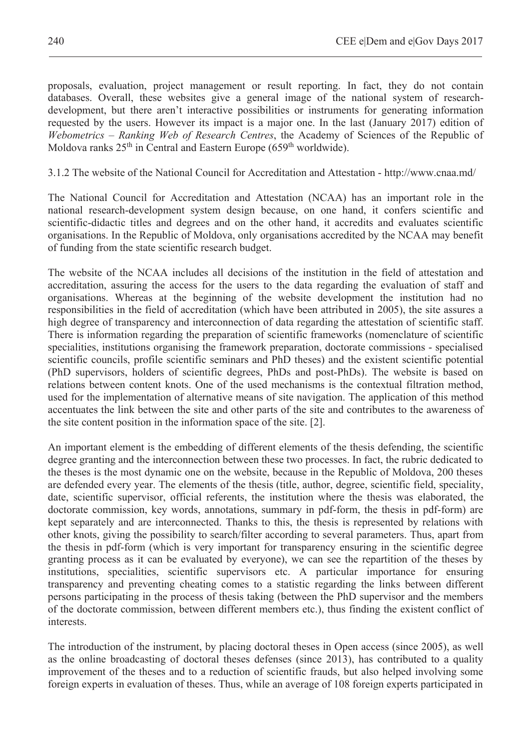proposals, evaluation, project management or result reporting. In fact, they do not contain databases. Overall, these websites give a general image of the national system of researchdevelopment, but there aren't interactive possibilities or instruments for generating information requested by the users. However its impact is a major one. In the last (January 2017) edition of *Webometrics – Ranking Web of Research Centres*, the Academy of Sciences of the Republic of Moldova ranks  $25<sup>th</sup>$  in Central and Eastern Europe (659<sup>th</sup> worldwide).

3.1.2 The website of the National Council for Accreditation and Attestation - http://www.cnaa.md/

The National Council for Accreditation and Attestation (NCAA) has an important role in the national research-development system design because, on one hand, it confers scientific and scientific-didactic titles and degrees and on the other hand, it accredits and evaluates scientific organisations. In the Republic of Moldova, only organisations accredited by the NCAA may benefit of funding from the state scientific research budget.

The website of the NCAA includes all decisions of the institution in the field of attestation and accreditation, assuring the access for the users to the data regarding the evaluation of staff and organisations. Whereas at the beginning of the website development the institution had no responsibilities in the field of accreditation (which have been attributed in 2005), the site assures a high degree of transparency and interconnection of data regarding the attestation of scientific staff. There is information regarding the preparation of scientific frameworks (nomenclature of scientific specialities, institutions organising the framework preparation, doctorate commissions - specialised scientific councils, profile scientific seminars and PhD theses) and the existent scientific potential (PhD supervisors, holders of scientific degrees, PhDs and post-PhDs). The website is based on relations between content knots. One of the used mechanisms is the contextual filtration method, used for the implementation of alternative means of site navigation. The application of this method accentuates the link between the site and other parts of the site and contributes to the awareness of the site content position in the information space of the site. [2].

An important element is the embedding of different elements of the thesis defending, the scientific degree granting and the interconnection between these two processes. In fact, the rubric dedicated to the theses is the most dynamic one on the website, because in the Republic of Moldova, 200 theses are defended every year. The elements of the thesis (title, author, degree, scientific field, speciality, date, scientific supervisor, official referents, the institution where the thesis was elaborated, the doctorate commission, key words, annotations, summary in pdf-form, the thesis in pdf-form) are kept separately and are interconnected. Thanks to this, the thesis is represented by relations with other knots, giving the possibility to search/filter according to several parameters. Thus, apart from the thesis in pdf-form (which is very important for transparency ensuring in the scientific degree granting process as it can be evaluated by everyone), we can see the repartition of the theses by institutions, specialities, scientific supervisors etc. A particular importance for ensuring transparency and preventing cheating comes to a statistic regarding the links between different persons participating in the process of thesis taking (between the PhD supervisor and the members of the doctorate commission, between different members etc.), thus finding the existent conflict of interests.

The introduction of the instrument, by placing doctoral theses in Open access (since 2005), as well as the online broadcasting of doctoral theses defenses (since 2013), has contributed to a quality improvement of the theses and to a reduction of scientific frauds, but also helped involving some foreign experts in evaluation of theses. Thus, while an average of 108 foreign experts participated in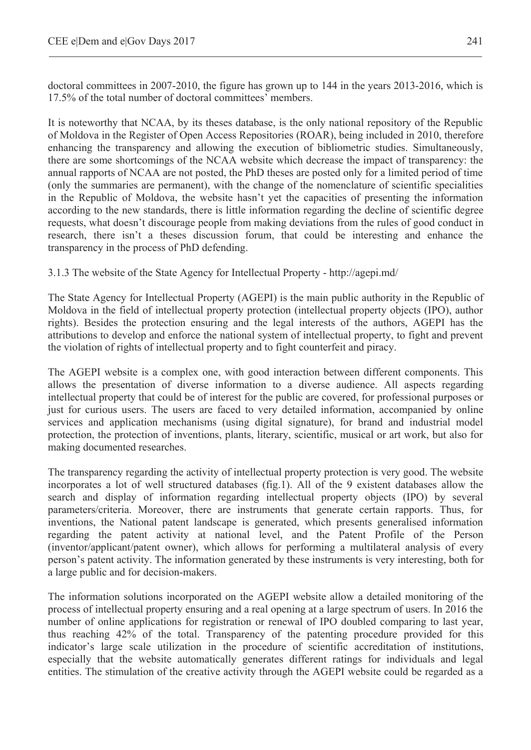doctoral committees in 2007-2010, the figure has grown up to 144 in the years 2013-2016, which is 17.5% of the total number of doctoral committees' members.

It is noteworthy that NCAA, by its theses database, is the only national repository of the Republic of Moldova in the Register of Open Access Repositories (ROAR), being included in 2010, therefore enhancing the transparency and allowing the execution of bibliometric studies. Simultaneously, there are some shortcomings of the NCAA website which decrease the impact of transparency: the annual rapports of NCAA are not posted, the PhD theses are posted only for a limited period of time (only the summaries are permanent), with the change of the nomenclature of scientific specialities in the Republic of Moldova, the website hasn't yet the capacities of presenting the information according to the new standards, there is little information regarding the decline of scientific degree requests, what doesn't discourage people from making deviations from the rules of good conduct in research, there isn't a theses discussion forum, that could be interesting and enhance the transparency in the process of PhD defending.

3.1.3 The website of the State Agency for Intellectual Property - http://agepi.md/

The State Agency for Intellectual Property (AGEPI) is the main public authority in the Republic of Moldova in the field of intellectual property protection (intellectual property objects (IPO), author rights). Besides the protection ensuring and the legal interests of the authors, AGEPI has the attributions to develop and enforce the national system of intellectual property, to fight and prevent the violation of rights of intellectual property and to fight counterfeit and piracy.

The AGEPI website is a complex one, with good interaction between different components. This allows the presentation of diverse information to a diverse audience. All aspects regarding intellectual property that could be of interest for the public are covered, for professional purposes or just for curious users. The users are faced to very detailed information, accompanied by online services and application mechanisms (using digital signature), for brand and industrial model protection, the protection of inventions, plants, literary, scientific, musical or art work, but also for making documented researches.

The transparency regarding the activity of intellectual property protection is very good. The website incorporates a lot of well structured databases (fig.1). All of the 9 existent databases allow the search and display of information regarding intellectual property objects (IPO) by several parameters/criteria. Moreover, there are instruments that generate certain rapports. Thus, for inventions, the National patent landscape is generated, which presents generalised information regarding the patent activity at national level, and the Patent Profile of the Person (inventor/applicant/patent owner), which allows for performing a multilateral analysis of every person's patent activity. The information generated by these instruments is very interesting, both for a large public and for decision-makers.

The information solutions incorporated on the AGEPI website allow a detailed monitoring of the process of intellectual property ensuring and a real opening at a large spectrum of users. In 2016 the number of online applications for registration or renewal of IPO doubled comparing to last year, thus reaching 42% of the total. Transparency of the patenting procedure provided for this indicator's large scale utilization in the procedure of scientific accreditation of institutions, especially that the website automatically generates different ratings for individuals and legal entities. The stimulation of the creative activity through the AGEPI website could be regarded as a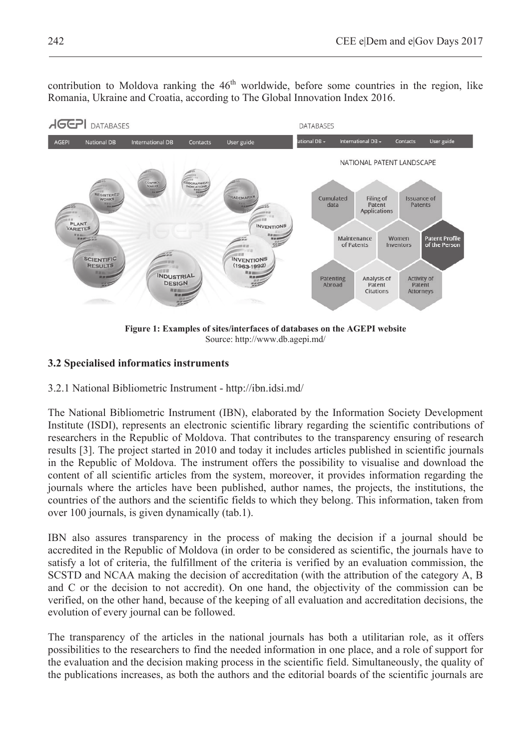contribution to Moldova ranking the  $46<sup>th</sup>$  worldwide, before some countries in the region, like Romania, Ukraine and Croatia, according to The Global Innovation Index 2016.



**Figure 1: Examples of sites/interfaces of databases on the AGEPI website**  Source: http://www.db.agepi.md/

### **3.2 Specialised informatics instruments**

3.2.1 National Bibliometric Instrument - http://ibn.idsi.md/

The National Bibliometric Instrument (IBN), elaborated by the Information Society Development Institute (ISDI), represents an electronic scientific library regarding the scientific contributions of researchers in the Republic of Moldova. That contributes to the transparency ensuring of research results [3]. The project started in 2010 and today it includes articles published in scientific journals in the Republic of Moldova. The instrument offers the possibility to visualise and download the content of all scientific articles from the system, moreover, it provides information regarding the journals where the articles have been published, author names, the projects, the institutions, the countries of the authors and the scientific fields to which they belong. This information, taken from over 100 journals, is given dynamically (tab.1).

IBN also assures transparency in the process of making the decision if a journal should be accredited in the Republic of Moldova (in order to be considered as scientific, the journals have to satisfy a lot of criteria, the fulfillment of the criteria is verified by an evaluation commission, the SCSTD and NCAA making the decision of accreditation (with the attribution of the category A, B and C or the decision to not accredit). On one hand, the objectivity of the commission can be verified, on the other hand, because of the keeping of all evaluation and accreditation decisions, the evolution of every journal can be followed.

The transparency of the articles in the national journals has both a utilitarian role, as it offers possibilities to the researchers to find the needed information in one place, and a role of support for the evaluation and the decision making process in the scientific field. Simultaneously, the quality of the publications increases, as both the authors and the editorial boards of the scientific journals are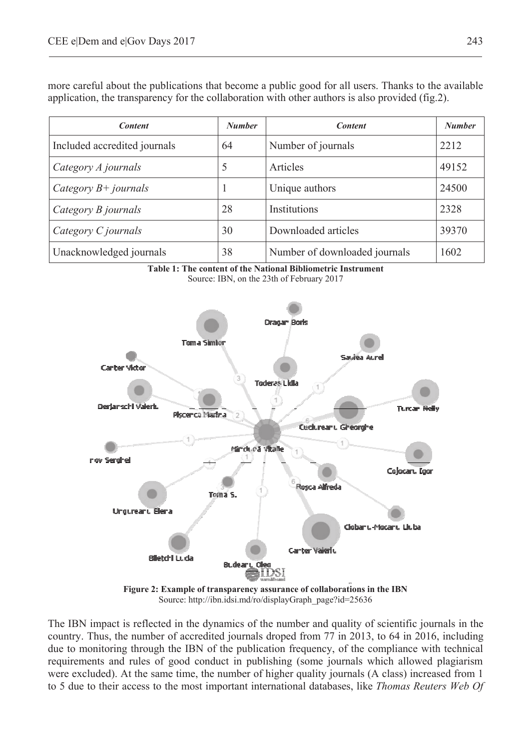*Content Number Content Number* Included accredited journals  $\begin{bmatrix} 64 \\ 1 \end{bmatrix}$  Number of journals  $\begin{bmatrix} 2212 \\ 2212 \end{bmatrix}$ *Category A journals* 5 Articles 49152 *Category B+ journals* 1 Unique authors 24500 *Category B journals* 28 Institutions 2328 *Category C journals* 30 Downloaded articles 39370 Unacknowledged journals 138 Number of downloaded journals 1602





Source: http://ibn.idsi.md/ro/displayGraph\_page?id=25636

The IBN impact is reflected in the dynamics of the number and quality of scientific journals in the country. Thus, the number of accredited journals droped from 77 in 2013, to 64 in 2016, including due to monitoring through the IBN of the publication frequency, of the compliance with technical requirements and rules of good conduct in publishing (some journals which allowed plagiarism were excluded). At the same time, the number of higher quality journals (A class) increased from 1 to 5 due to their access to the most important international databases, like *Thomas Reuters Web Of* 

more careful about the publications that become a public good for all users. Thanks to the available application, the transparency for the collaboration with other authors is also provided (fig.2).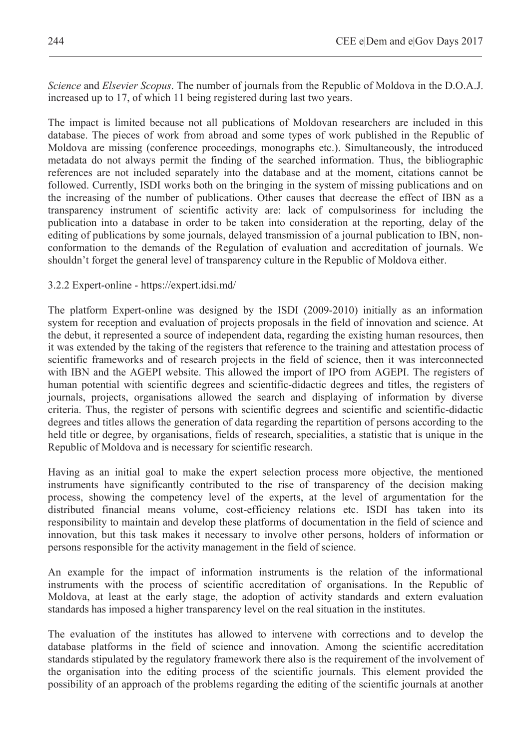*Science* and *Elsevier Scopus*. The number of journals from the Republic of Moldova in the D.O.A.J. increased up to 17, of which 11 being registered during last two years.

The impact is limited because not all publications of Moldovan researchers are included in this database. The pieces of work from abroad and some types of work published in the Republic of Moldova are missing (conference proceedings, monographs etc.). Simultaneously, the introduced metadata do not always permit the finding of the searched information. Thus, the bibliographic references are not included separately into the database and at the moment, citations cannot be followed. Currently, ISDI works both on the bringing in the system of missing publications and on the increasing of the number of publications. Other causes that decrease the effect of IBN as a transparency instrument of scientific activity are: lack of compulsoriness for including the publication into a database in order to be taken into consideration at the reporting, delay of the editing of publications by some journals, delayed transmission of a journal publication to IBN, nonconformation to the demands of the Regulation of evaluation and accreditation of journals. We shouldn't forget the general level of transparency culture in the Republic of Moldova either.

#### 3.2.2 Expert-online - https://expert.idsi.md/

The platform Expert-online was designed by the ISDI (2009-2010) initially as an information system for reception and evaluation of projects proposals in the field of innovation and science. At the debut, it represented a source of independent data, regarding the existing human resources, then it was extended by the taking of the registers that reference to the training and attestation process of scientific frameworks and of research projects in the field of science, then it was interconnected with IBN and the AGEPI website. This allowed the import of IPO from AGEPI. The registers of human potential with scientific degrees and scientific-didactic degrees and titles, the registers of journals, projects, organisations allowed the search and displaying of information by diverse criteria. Thus, the register of persons with scientific degrees and scientific and scientific-didactic degrees and titles allows the generation of data regarding the repartition of persons according to the held title or degree, by organisations, fields of research, specialities, a statistic that is unique in the Republic of Moldova and is necessary for scientific research.

Having as an initial goal to make the expert selection process more objective, the mentioned instruments have significantly contributed to the rise of transparency of the decision making process, showing the competency level of the experts, at the level of argumentation for the distributed financial means volume, cost-efficiency relations etc. ISDI has taken into its responsibility to maintain and develop these platforms of documentation in the field of science and innovation, but this task makes it necessary to involve other persons, holders of information or persons responsible for the activity management in the field of science.

An example for the impact of information instruments is the relation of the informational instruments with the process of scientific accreditation of organisations. In the Republic of Moldova, at least at the early stage, the adoption of activity standards and extern evaluation standards has imposed a higher transparency level on the real situation in the institutes.

The evaluation of the institutes has allowed to intervene with corrections and to develop the database platforms in the field of science and innovation. Among the scientific accreditation standards stipulated by the regulatory framework there also is the requirement of the involvement of the organisation into the editing process of the scientific journals. This element provided the possibility of an approach of the problems regarding the editing of the scientific journals at another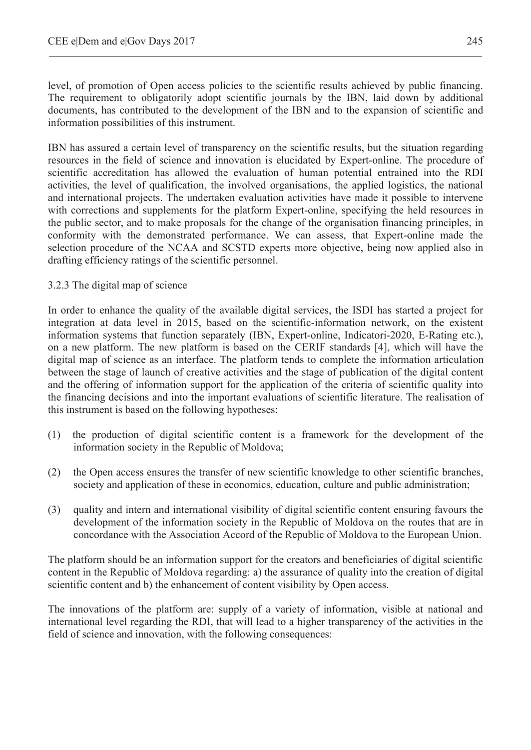level, of promotion of Open access policies to the scientific results achieved by public financing. The requirement to obligatorily adopt scientific journals by the IBN, laid down by additional documents, has contributed to the development of the IBN and to the expansion of scientific and information possibilities of this instrument.

IBN has assured a certain level of transparency on the scientific results, but the situation regarding resources in the field of science and innovation is elucidated by Expert-online. The procedure of scientific accreditation has allowed the evaluation of human potential entrained into the RDI activities, the level of qualification, the involved organisations, the applied logistics, the national and international projects. The undertaken evaluation activities have made it possible to intervene with corrections and supplements for the platform Expert-online, specifying the held resources in the public sector, and to make proposals for the change of the organisation financing principles, in conformity with the demonstrated performance. We can assess, that Expert-online made the selection procedure of the NCAA and SCSTD experts more objective, being now applied also in drafting efficiency ratings of the scientific personnel.

#### 3.2.3 The digital map of science

In order to enhance the quality of the available digital services, the ISDI has started a project for integration at data level in 2015, based on the scientific-information network, on the existent information systems that function separately (IBN, Expert-online, Indicatori-2020, E-Rating etc.), on a new platform. The new platform is based on the CERIF standards [4], which will have the digital map of science as an interface. The platform tends to complete the information articulation between the stage of launch of creative activities and the stage of publication of the digital content and the offering of information support for the application of the criteria of scientific quality into the financing decisions and into the important evaluations of scientific literature. The realisation of this instrument is based on the following hypotheses:

- (1) the production of digital scientific content is a framework for the development of the information society in the Republic of Moldova;
- (2) the Open access ensures the transfer of new scientific knowledge to other scientific branches, society and application of these in economics, education, culture and public administration;
- (3) quality and intern and international visibility of digital scientific content ensuring favours the development of the information society in the Republic of Moldova on the routes that are in concordance with the Association Accord of the Republic of Moldova to the European Union.

The platform should be an information support for the creators and beneficiaries of digital scientific content in the Republic of Moldova regarding: a) the assurance of quality into the creation of digital scientific content and b) the enhancement of content visibility by Open access.

The innovations of the platform are: supply of a variety of information, visible at national and international level regarding the RDI, that will lead to a higher transparency of the activities in the field of science and innovation, with the following consequences: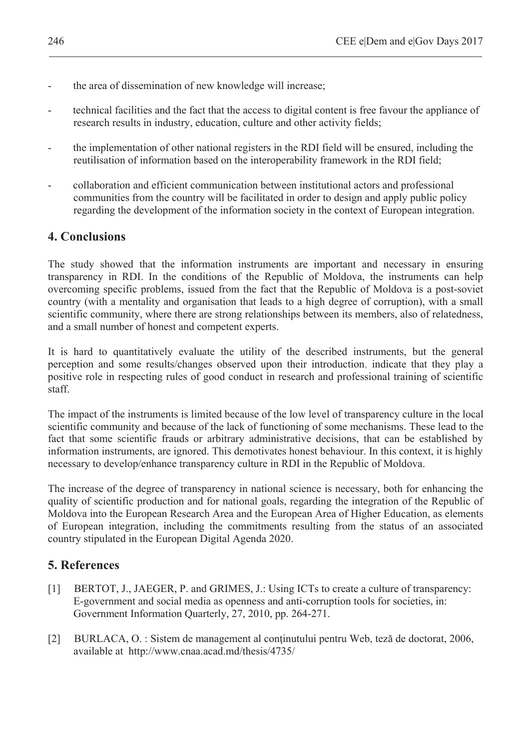- the area of dissemination of new knowledge will increase;
- technical facilities and the fact that the access to digital content is free favour the appliance of research results in industry, education, culture and other activity fields;
- the implementation of other national registers in the RDI field will be ensured, including the reutilisation of information based on the interoperability framework in the RDI field;
- collaboration and efficient communication between institutional actors and professional communities from the country will be facilitated in order to design and apply public policy regarding the development of the information society in the context of European integration.

## **4. Conclusions**

The study showed that the information instruments are important and necessary in ensuring transparency in RDI. In the conditions of the Republic of Moldova, the instruments can help overcoming specific problems, issued from the fact that the Republic of Moldova is a post-soviet country (with a mentality and organisation that leads to a high degree of corruption), with a small scientific community, where there are strong relationships between its members, also of relatedness, and a small number of honest and competent experts.

It is hard to quantitatively evaluate the utility of the described instruments, but the general perception and some results/changes observed upon their introduction, indicate that they play a positive role in respecting rules of good conduct in research and professional training of scientific staff.

The impact of the instruments is limited because of the low level of transparency culture in the local scientific community and because of the lack of functioning of some mechanisms. These lead to the fact that some scientific frauds or arbitrary administrative decisions, that can be established by information instruments, are ignored. This demotivates honest behaviour. In this context, it is highly necessary to develop/enhance transparency culture in RDI in the Republic of Moldova.

The increase of the degree of transparency in national science is necessary, both for enhancing the quality of scientific production and for national goals, regarding the integration of the Republic of Moldova into the European Research Area and the European Area of Higher Education, as elements of European integration, including the commitments resulting from the status of an associated country stipulated in the European Digital Agenda 2020.

## **5. References**

- [1] BERTOT, J., JAEGER, P. and GRIMES, J.: Using ICTs to create a culture of transparency: E-government and social media as openness and anti-corruption tools for societies, in: Government Information Quarterly, 27, 2010, pp. 264-271.
- [2] BURLACA, O. : Sistem de management al continutului pentru Web, teză de doctorat, 2006, available at http://www.cnaa.acad.md/thesis/4735/